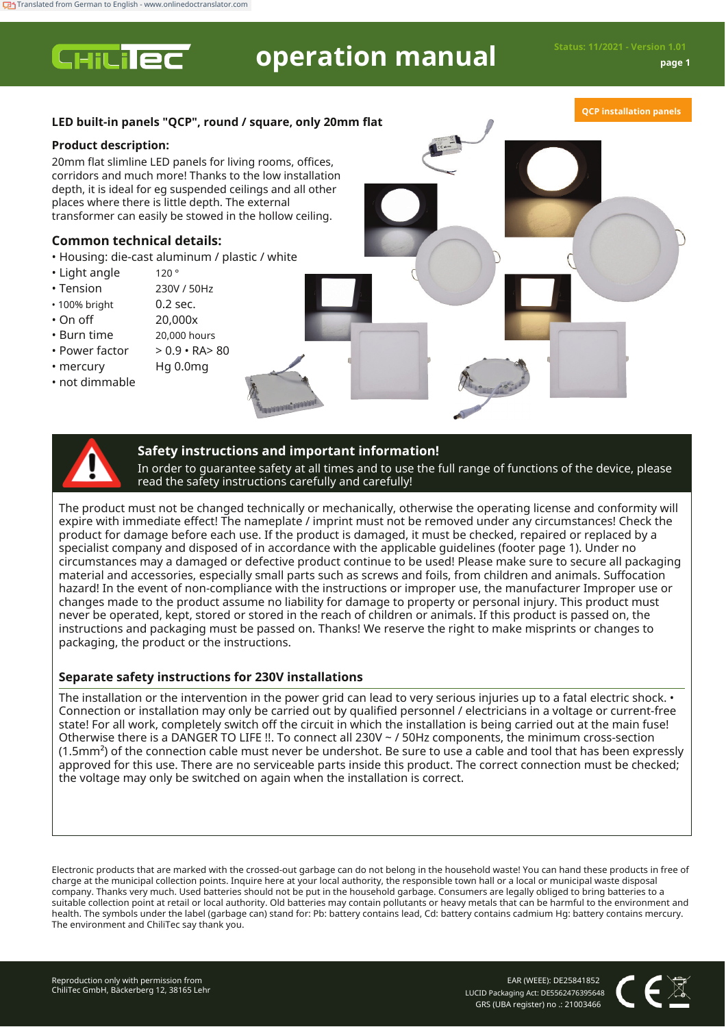**CHILIEC** 

# **operation manual Status: 11/2021 - Version 1.01**

**QCP installation panels**

## **LED built-in panels "QCP", round / square, only 20mm flat**

## **Product description:**

20mm flat slimline LED panels for living rooms, offices, corridors and much more! Thanks to the low installation depth, it is ideal for eg suspended ceilings and all other places where there is little depth. The external transformer can easily be stowed in the hollow ceiling.

# **Common technical details:**

• Housing: die-cast aluminum / plastic / white 120 °

> 230V / 50Hz 0.2 sec. 20,000x

- Light angle
- Tension
- 100% bright
- On off
- Burn time
- Power factor
- mercury
- 
- 20,000 hours  $> 0.9 \cdot RA$   $> 80$
- Hg 0.0mg
- not dimmable
	-

## **Safety instructions and important information!**

In order to guarantee safety at all times and to use the full range of functions of the device, please read the safety instructions carefully and carefully!

The product must not be changed technically or mechanically, otherwise the operating license and conformity will expire with immediate effect! The nameplate / imprint must not be removed under any circumstances! Check the product for damage before each use. If the product is damaged, it must be checked, repaired or replaced by a specialist company and disposed of in accordance with the applicable guidelines (footer page 1). Under no circumstances may a damaged or defective product continue to be used! Please make sure to secure all packaging material and accessories, especially small parts such as screws and foils, from children and animals. Suffocation hazard! In the event of non-compliance with the instructions or improper use, the manufacturer Improper use or changes made to the product assume no liability for damage to property or personal injury. This product must never be operated, kept, stored or stored in the reach of children or animals. If this product is passed on, the instructions and packaging must be passed on. Thanks! We reserve the right to make misprints or changes to packaging, the product or the instructions.

## **Separate safety instructions for 230V installations**

The installation or the intervention in the power grid can lead to very serious injuries up to a fatal electric shock. • Connection or installation may only be carried out by qualified personnel / electricians in a voltage or current-free state! For all work, completely switch off the circuit in which the installation is being carried out at the main fuse! Otherwise there is a DANGER TO LIFE !!. To connect all 230V ~ / 50Hz components, the minimum cross-section (1.5mm²) of the connection cable must never be undershot. Be sure to use a cable and tool that has been expressly approved for this use. There are no serviceable parts inside this product. The correct connection must be checked; the voltage may only be switched on again when the installation is correct.

Electronic products that are marked with the crossed-out garbage can do not belong in the household waste! You can hand these products in free of charge at the municipal collection points. Inquire here at your local authority, the responsible town hall or a local or municipal waste disposal company. Thanks very much. Used batteries should not be put in the household garbage. Consumers are legally obliged to bring batteries to a suitable collection point at retail or local authority. Old batteries may contain pollutants or heavy metals that can be harmful to the environment and health. The symbols under the label (garbage can) stand for: Pb: battery contains lead, Cd: battery contains cadmium Hg: battery contains mercury. The environment and ChiliTec say thank you.

EAR (WEEE): DE25841852 LUCID Packaging Act: DE5562476395648 GRS (UBA register) no .: 21003466